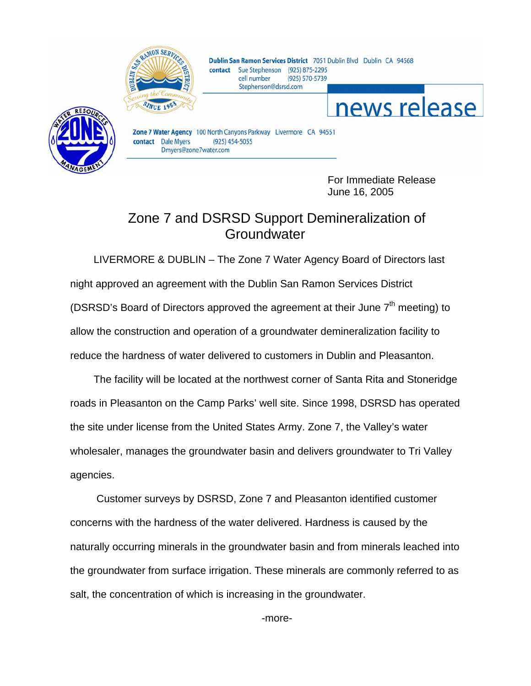

Dublin San Ramon Services District 7051 Dublin Blvd Dublin CA 94568 contact Sue Stephenson (925) 875-2295 cell number (925) 570-5739 Stephenson@dsrsd.com



Zone 7 Water Agency 100 North Canyons Parkway Livermore CA 94551 contact Dale Myers  $(925)$  454-5055 Dmyers@zone7water.com

> For Immediate Release June 16, 2005

news release

## Zone 7 and DSRSD Support Demineralization of **Groundwater**

LIVERMORE & DUBLIN – The Zone 7 Water Agency Board of Directors last night approved an agreement with the Dublin San Ramon Services District (DSRSD's Board of Directors approved the agreement at their June  $7<sup>th</sup>$  meeting) to allow the construction and operation of a groundwater demineralization facility to reduce the hardness of water delivered to customers in Dublin and Pleasanton.

The facility will be located at the northwest corner of Santa Rita and Stoneridge roads in Pleasanton on the Camp Parks' well site. Since 1998, DSRSD has operated the site under license from the United States Army. Zone 7, the Valley's water wholesaler, manages the groundwater basin and delivers groundwater to Tri Valley agencies.

 Customer surveys by DSRSD, Zone 7 and Pleasanton identified customer concerns with the hardness of the water delivered. Hardness is caused by the naturally occurring minerals in the groundwater basin and from minerals leached into the groundwater from surface irrigation. These minerals are commonly referred to as salt, the concentration of which is increasing in the groundwater.

-more-